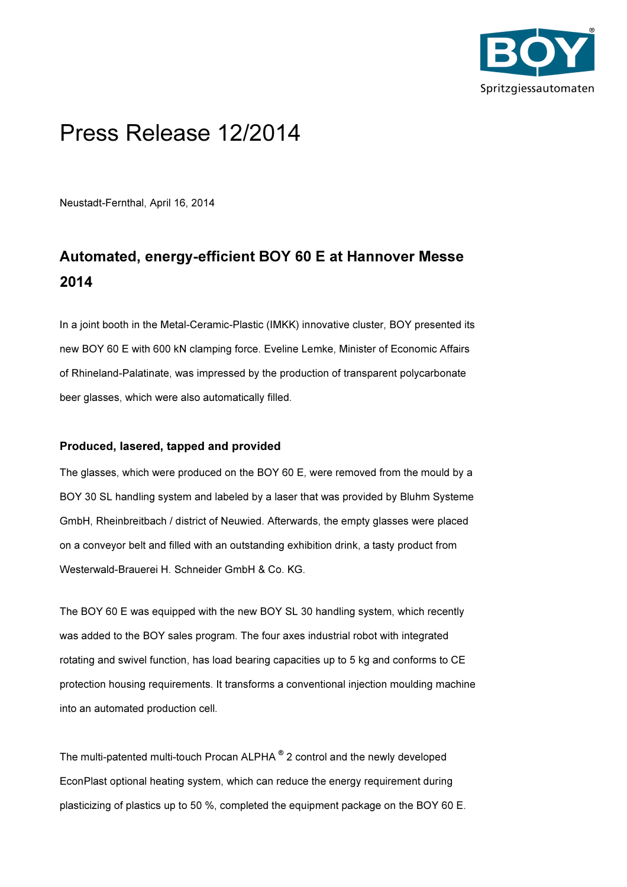

# Press Release 12/2014

Neustadt-Fernthal, April 16, 2014

# Automated, energy-efficient BOY 60 E at Hannover Messe 2014

In a joint booth in the Metal-Ceramic-Plastic (IMKK) innovative cluster, BOY presented its new BOY 60 E with 600 kN clamping force. Eveline Lemke, Minister of Economic Affairs of Rhineland-Palatinate, was impressed by the production of transparent polycarbonate beer glasses, which were also automatically filled.

## Produced, lasered, tapped and provided

The glasses, which were produced on the BOY 60 E, were removed from the mould by a BOY 30 SL handling system and labeled by a laser that was provided by Bluhm Systeme GmbH, Rheinbreitbach / district of Neuwied. Afterwards, the empty glasses were placed on a conveyor belt and filled with an outstanding exhibition drink, a tasty product from Westerwald-Brauerei H. Schneider GmbH & Co. KG.

The BOY 60 E was equipped with the new BOY SL 30 handling system, which recently was added to the BOY sales program. The four axes industrial robot with integrated rotating and swivel function, has load bearing capacities up to 5 kg and conforms to CE protection housing requirements. It transforms a conventional injection moulding machine into an automated production cell.

The multi-patented multi-touch Procan ALPHA ® 2 control and the newly developed EconPlast optional heating system, which can reduce the energy requirement during plasticizing of plastics up to 50 %, completed the equipment package on the BOY 60 E.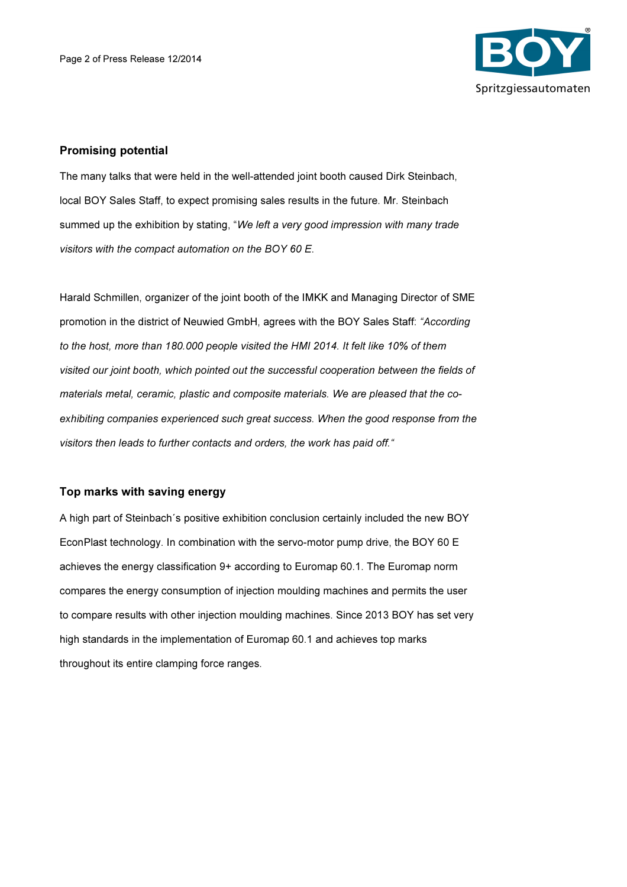

### Promising potential

The many talks that were held in the well-attended joint booth caused Dirk Steinbach, local BOY Sales Staff, to expect promising sales results in the future. Mr. Steinbach summed up the exhibition by stating, "We left a very good impression with many trade visitors with the compact automation on the BOY 60 E.

Harald Schmillen, organizer of the joint booth of the IMKK and Managing Director of SME promotion in the district of Neuwied GmbH, agrees with the BOY Sales Staff: "According to the host, more than 180.000 people visited the HMI 2014. It felt like 10% of them visited our joint booth, which pointed out the successful cooperation between the fields of materials metal, ceramic, plastic and composite materials. We are pleased that the coexhibiting companies experienced such great success. When the good response from the visitors then leads to further contacts and orders, the work has paid off."

### Top marks with saving energy

A high part of Steinbach´s positive exhibition conclusion certainly included the new BOY EconPlast technology. In combination with the servo-motor pump drive, the BOY 60 E achieves the energy classification 9+ according to Euromap 60.1. The Euromap norm compares the energy consumption of injection moulding machines and permits the user to compare results with other injection moulding machines. Since 2013 BOY has set very high standards in the implementation of Euromap 60.1 and achieves top marks throughout its entire clamping force ranges.